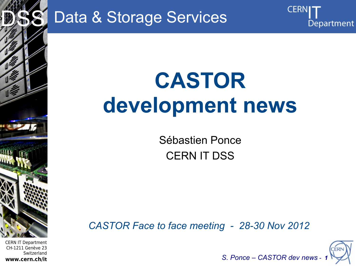

Data & Storage Services

# **CASTOR development news**

Sébastien Ponce CERN IT DSS

*CASTOR Face to face meeting - 28-30 Nov 2012*



Department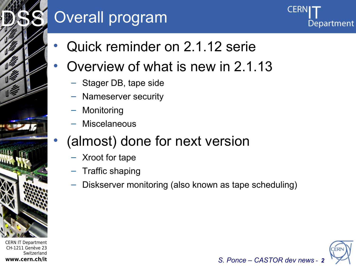## Overall program

Department

- Quick reminder on 2.1.12 serie
- Overview of what is new in 2.1.13
	- Stager DB, tape side
	- Nameserver security
	- **Monitoring**
	- **Miscelaneous**

## • (almost) done for next version

- Xroot for tape
- Traffic shaping
- Diskserver monitoring (also known as tape scheduling)



CERN IT Department CH-1211 Genève 23 Switzerland **www.cern.ch/it**

Internet Services of the Services

DSS<sup>S</sup>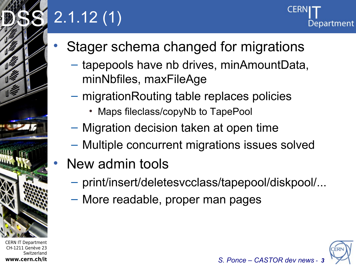## 2.1.12 (1)



- Stager schema changed for migrations
	- tapepools have nb drives, minAmountData, minNbfiles, maxFileAge
	- migrationRouting table replaces policies
		- Maps fileclass/copyNb to TapePool
	- Migration decision taken at open time
	- Multiple concurrent migrations issues solved
- New admin tools
	- print/insert/deletesvcclass/tapepool/diskpool/...
	- More readable, proper man pages

CERN IT Department CH-1211 Genève 23 Switzerland **www.cern.ch/it**

Internet Services of the Services

DSS<sup>S</sup>

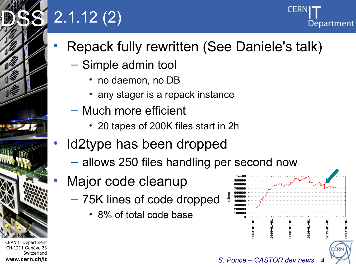## 2.1.12 (2)

- Repack fully rewritten (See Daniele's talk)
	- Simple admin tool
		- no daemon, no DB
		- any stager is a repack instance
	- Much more efficient
		- 20 tapes of 200K files start in 2h
- Id2type has been dropped
	- allows 250 files handling per second now
- Major code cleanup
	- 75K lines of code dropped
		- 8% of total code base



Department



Internet Services of the Services

DSS<sup>S</sup>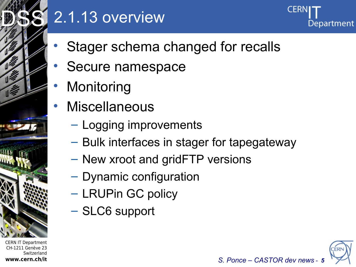

## 2.1.13 overview



- Stager schema changed for recalls
- Secure namespace
- **Monitoring**
- **Miscellaneous** 
	- Logging improvements
	- Bulk interfaces in stager for tapegateway
	- New xroot and gridFTP versions
	- Dynamic configuration
	- LRUPin GC policy
	- SLC6 support

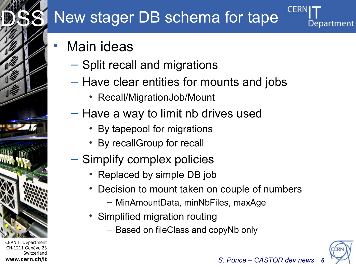## New stager DB schema for tape

- **Main ideas** 
	- Split recall and migrations
	- Have clear entities for mounts and jobs
		- Recall/MigrationJob/Mount
	- Have a way to limit nb drives used
		- By tapepool for migrations
		- By recallGroup for recall
	- Simplify complex policies
		- Replaced by simple DB job
		- Decision to mount taken on couple of numbers
			- MinAmountData, minNbFiles, maxAge
		- Simplified migration routing
			- Based on fileClass and copyNb only



Department

CERN IT Department CH-1211 Genève 23 Switzerland **www.cern.ch/it**

Internet Services of the Services

DSS<sup>S</sup>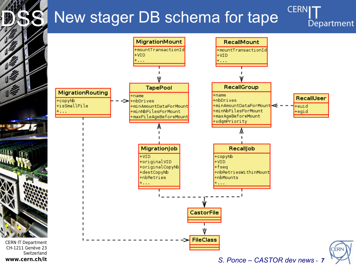## New stager DB schema for tape

 $\frac{1}{2}$ 

**HITH** 

**CERNI** Department

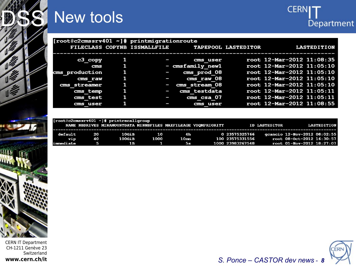

## New tools



| [root@c2cmssrv401 ~]# printmigrationroute |   |                              |                  |                            |                           |  |  |  |  |  |  |  |
|-------------------------------------------|---|------------------------------|------------------|----------------------------|---------------------------|--|--|--|--|--|--|--|
|                                           |   | FILECLASS COPYNB ISSMALLFILE |                  | <b>TAPEPOOL LASTEDITOR</b> | <b>LASTEDITION</b>        |  |  |  |  |  |  |  |
|                                           |   |                              |                  |                            |                           |  |  |  |  |  |  |  |
| c3 copy                                   |   |                              | cms user         |                            | root 12-Mar-2012 11:08:35 |  |  |  |  |  |  |  |
| ems                                       | 1 |                              | - cmsfamily newl |                            | root 12-Mar-2012 11:05:10 |  |  |  |  |  |  |  |
| cms production                            | 1 |                              | cms prod 08      |                            | root 12-Mar-2012 11:05:10 |  |  |  |  |  |  |  |
| cms raw                                   |   |                              | cms raw 08       |                            | root 12-Mar-2012 11:05:10 |  |  |  |  |  |  |  |
| cms streamer                              | 1 | I                            | cms stream 08    |                            | root 12-Mar-2012 11:05:10 |  |  |  |  |  |  |  |
| cms temp                                  |   | I                            | cms testdata     |                            | root 12-Mar-2012 11:05:11 |  |  |  |  |  |  |  |
| cms test                                  |   | l                            | - 07<br>cms csa  |                            | root 12-Mar-2012 11:05:11 |  |  |  |  |  |  |  |
| cms user                                  |   |                              | cms user         |                            | root 12-Mar-2012 11:08:55 |  |  |  |  |  |  |  |
|                                           |   |                              |                  |                            |                           |  |  |  |  |  |  |  |

|            |    | [root@c2cmssrv401 ~]# printrecallgroup<br>NAME NBDRIVES MINAMOUNTDATA MINNBFILES MAXFILEAGE VDOMPRIORITY |      |      |                  | <b>ID LASTEDITOR</b> | <b>LASTEDITION</b>           |
|------------|----|----------------------------------------------------------------------------------------------------------|------|------|------------------|----------------------|------------------------------|
| default    | 20 | 10GiB                                                                                                    | 10   | 4 h  | 0 23575325766    |                      | gcancio 12-Nov-2012 08:02:55 |
| Vip        | 40 | 100GiB                                                                                                   | 1000 | 10mm | 100 23575331556  |                      | root 08-0ct-2012 16:30:57    |
| limmediate | 5  | 1 R                                                                                                      |      | - 5  | 1000 23983267548 |                      | root 01-Nov-2012 18:27:07    |



S. Ponce - CASTOR dev news - 8

**CERN IT Department** CH-1211 Genève 23 Switzerland www.cern.ch/it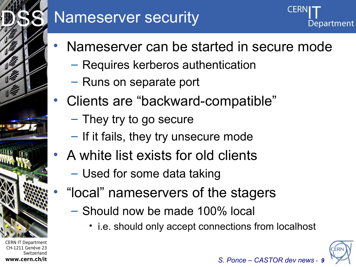

## Nameserver security



- Nameserver can be started in secure mode
	- Requires kerberos authentication
	- Runs on separate port
- Clients are "backward-compatible"
	- They try to go secure
	- If it fails, they try unsecure mode
- A white list exists for old clients
	- Used for some data taking
	- "local" nameservers of the stagers
		- Should now be made 100% local
			- i.e. should only accept connections from localhost



CERN IT Department CH-1211 Genève 23 Switzerland **www.cern.ch/it**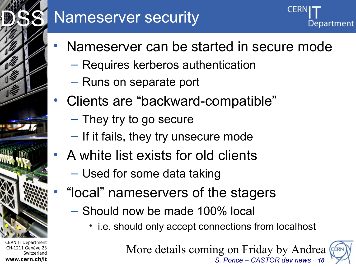# Internet Services of the Services DSS<sup>S</sup>

CERN IT Department CH-1211 Genève 23 Switzerland **www.cern.ch/it**

## Nameserver security

- Nameserver can be started in secure mode
	- Requires kerberos authentication
	- Runs on separate port
- Clients are "backward-compatible"
	- They try to go secure
	- If it fails, they try unsecure mode
- A white list exists for old clients
	- Used for some data taking
	- "local" nameservers of the stagers
		- Should now be made 100% local
			- i.e. should only accept connections from localhost

*S. Ponce – CASTOR dev news - 10* More details coming on Friday by Andrea

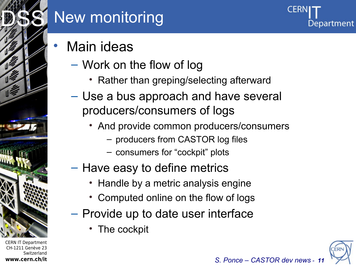

CH-1211 Genève 23

**www.cern.ch/it**

**Switzerland** 

## New monitoring

**Main ideas** 

- Work on the flow of log
	- Rather than greping/selecting afterward
- Use a bus approach and have several producers/consumers of logs
	- And provide common producers/consumers
		- producers from CASTOR log files
		- consumers for "cockpit" plots
- Have easy to define metrics
	- Handle by a metric analysis engine
	- Computed online on the flow of logs
- Provide up to date user interface
	- The cockpit

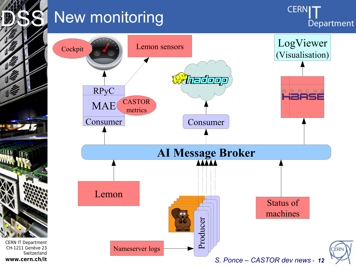

CERN IT Department CH-1211 Genève 23

**www.cern.ch/it**

Switzerland

## New monitoring

**CERNI** Department

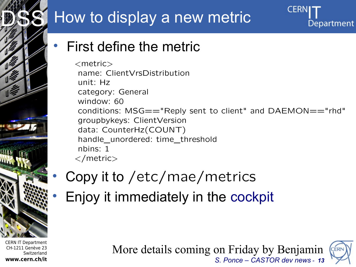## How to display a new metric

## CERI Department

DSS<sup>S</sup>

## • First define the metric

<metric> name: ClientVrsDistribution unit: Hz category: General window: 60 conditions: MSG=="Reply sent to client" and DAEMON=="rhd" groupbykeys: ClientVersion data: CounterHz(COUNT) handle\_unordered: time\_threshold nbins: 1 </metric>



CERN IT Department CH-1211 Genève 23 Switzerland **www.cern.ch/it**

## • Copy it to /etc/mae/metrics

• Enjoy it immediately in the [cockpit](http://c2adm01.cern.ch/)

*S. Ponce – CASTOR dev news - 13* More details coming on Friday by Benjamin

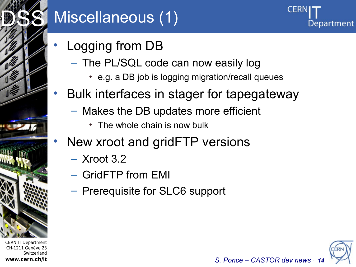

## Miscellaneous (1)

- Logging from DB
	- The PL/SQL code can now easily log
		- e.g. a DB job is logging migration/recall queues
- Bulk interfaces in stager for tapegateway
	- Makes the DB updates more efficient
		- The whole chain is now bulk
- New xroot and gridFTP versions
	- Xroot 3.2
	- GridFTP from EMI
	- Prerequisite for SLC6 support



Department

CERN IT Department CH-1211 Genève 23 Switzerland **www.cern.ch/it**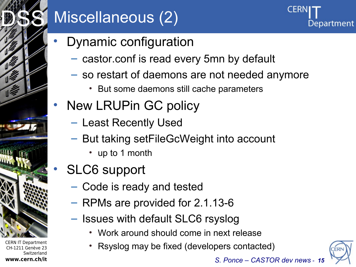

## Miscellaneous (2)



- Dynamic configuration
	- castor.conf is read every 5mn by default
	- so restart of daemons are not needed anymore
		- But some daemons still cache parameters
- New LRUPin GC policy
	- Least Recently Used
	- But taking setFileGcWeight into account
		- up to 1 month
- SLC6 support
	- Code is ready and tested
	- RPMs are provided for 2.1.13-6
	- Issues with default SLC6 rsyslog
		- Work around should come in next release
		- Rsyslog may be fixed (developers contacted)

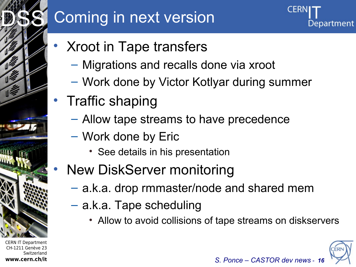## Coming in next version



- Xroot in Tape transfers
	- Migrations and recalls done via xroot
	- Work done by Victor Kotlyar during summer
- Traffic shaping
	- Allow tape streams to have precedence
	- Work done by Eric
		- See details in his presentation
	- New DiskServer monitoring
		- a.k.a. drop rmmaster/node and shared mem
		- a.k.a. Tape scheduling
			- Allow to avoid collisions of tape streams on diskservers



CERN IT Department CH-1211 Genève 23 Switzerland **www.cern.ch/it**

Internet Services of the Services

DSS<sup>S</sup>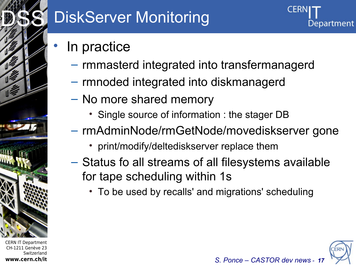

## DiskServer Monitoring

- In practice
	- rmmasterd integrated into transfermanagerd
	- rmnoded integrated into diskmanagerd
	- No more shared memory
		- Single source of information : the stager DB
	- rmAdminNode/rmGetNode/movediskserver gone
		- print/modify/deltediskserver replace them
	- Status fo all streams of all filesystems available for tape scheduling within 1s
		- To be used by recalls' and migrations' scheduling



CERN IT Department CH-1211 Genève 23 Switzerland **www.cern.ch/it**